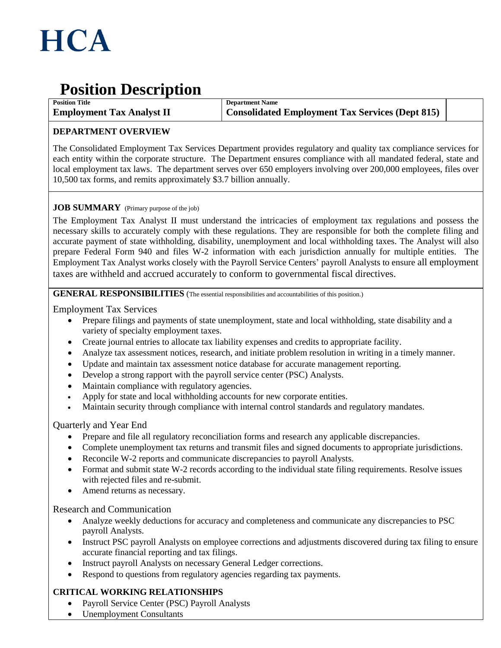

# **Position Description**

**Position Title Employment Tax Analyst II** **Department Name Consolidated Employment Tax Services (Dept 815)**

## **DEPARTMENT OVERVIEW**

The Consolidated Employment Tax Services Department provides regulatory and quality tax compliance services for each entity within the corporate structure. The Department ensures compliance with all mandated federal, state and local employment tax laws. The department serves over 650 employers involving over 200,000 employees, files over 10,500 tax forms, and remits approximately \$3.7 billion annually.

## **JOB SUMMARY** (Primary purpose of the job)

The Employment Tax Analyst II must understand the intricacies of employment tax regulations and possess the necessary skills to accurately comply with these regulations. They are responsible for both the complete filing and accurate payment of state withholding, disability, unemployment and local withholding taxes. The Analyst will also prepare Federal Form 940 and files W-2 information with each jurisdiction annually for multiple entities. The Employment Tax Analyst works closely with the Payroll Service Centers' payroll Analysts to ensure all employment taxes are withheld and accrued accurately to conform to governmental fiscal directives.

### **GENERAL RESPONSIBILITIES** (The essential responsibilities and accountabilities of this position.)

Employment Tax Services

- Prepare filings and payments of state unemployment, state and local withholding, state disability and a variety of specialty employment taxes.
- Create journal entries to allocate tax liability expenses and credits to appropriate facility.
- Analyze tax assessment notices, research, and initiate problem resolution in writing in a timely manner.
- Update and maintain tax assessment notice database for accurate management reporting.
- Develop a strong rapport with the payroll service center (PSC) Analysts.
- Maintain compliance with regulatory agencies.
- Apply for state and local withholding accounts for new corporate entities.
- Maintain security through compliance with internal control standards and regulatory mandates.

## Quarterly and Year End

- Prepare and file all regulatory reconciliation forms and research any applicable discrepancies.
- Complete unemployment tax returns and transmit files and signed documents to appropriate jurisdictions.
- Reconcile W-2 reports and communicate discrepancies to payroll Analysts.
- Format and submit state W-2 records according to the individual state filing requirements. Resolve issues with rejected files and re-submit.
- Amend returns as necessary.

#### Research and Communication

- Analyze weekly deductions for accuracy and completeness and communicate any discrepancies to PSC payroll Analysts.
- Instruct PSC payroll Analysts on employee corrections and adjustments discovered during tax filing to ensure accurate financial reporting and tax filings.
- Instruct payroll Analysts on necessary General Ledger corrections.
- Respond to questions from regulatory agencies regarding tax payments.

## **CRITICAL WORKING RELATIONSHIPS**

- Payroll Service Center (PSC) Payroll Analysts
- Unemployment Consultants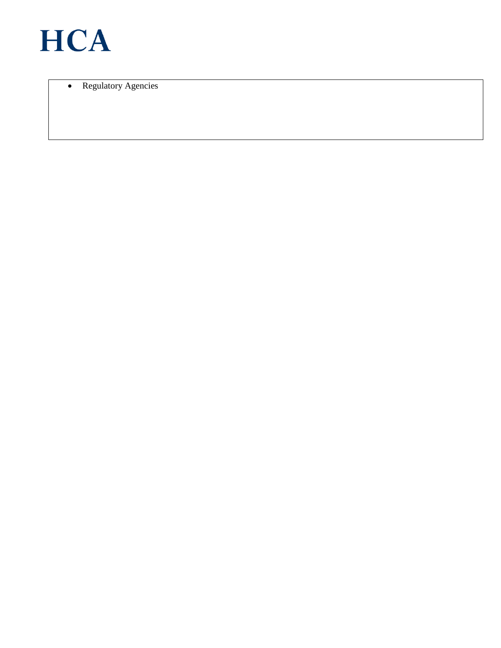

• Regulatory Agencies